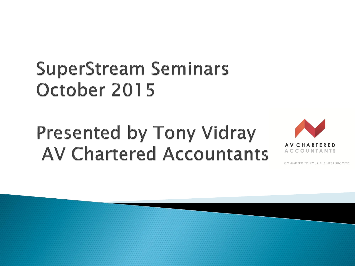#### **SuperStream Seminars** October 2015

### **Presented by Tony Vidray AV Chartered Accountants**

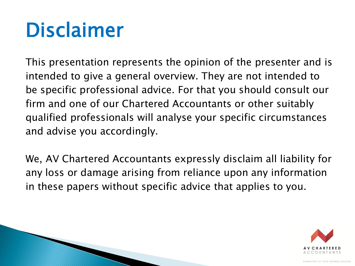## Disclaimer

This presentation represents the opinion of the presenter and is intended to give a general overview. They are not intended to be specific professional advice. For that you should consult our firm and one of our Chartered Accountants or other suitably qualified professionals will analyse your specific circumstances and advise you accordingly.

We, AV Chartered Accountants expressly disclaim all liability for any loss or damage arising from reliance upon any information in these papers without specific advice that applies to you.

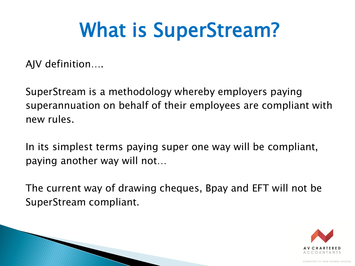## What is SuperStream?

AJV definition….

SuperStream is a methodology whereby employers paying superannuation on behalf of their employees are compliant with new rules.

In its simplest terms paying super one way will be compliant, paying another way will not…

The current way of drawing cheques, Bpay and EFT will not be SuperStream compliant.

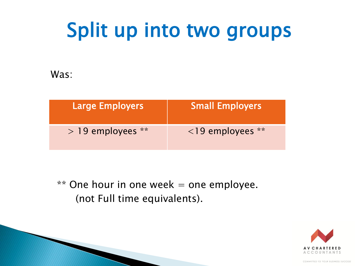## Split up into two groups

Was:

| Large Employers     | <b>Small Employers</b> |
|---------------------|------------------------|
| $>$ 19 employees ** | $\le$ 19 employees **  |

 $**$  One hour in one week = one employee. (not Full time equivalents).

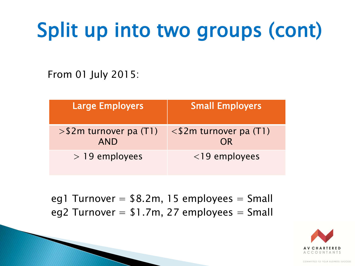# Split up into two groups (cont)

From 01 July 2015:

| <b>Large Employers</b>                  | <b>Small Employers</b>             |
|-----------------------------------------|------------------------------------|
| $>$ \$2m turnover pa (T1)<br><b>AND</b> | $\leq$ \$2m turnover pa (T1)<br>OR |
| $>$ 19 employees                        | $<$ 19 employees                   |

eg1 Turnover =  $$8.2m, 15$  employees = Small eg2 Turnover  $= $1.7m, 27$  employees  $=$  Small

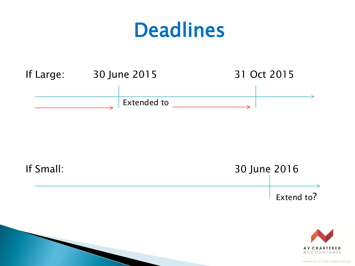#### Deadlines



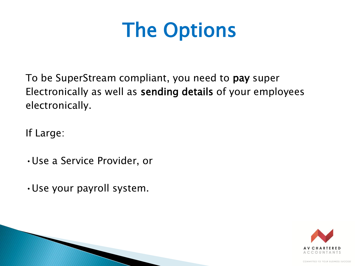## The Options

To be SuperStream compliant, you need to pay super Electronically as well as sending details of your employees electronically.

If Large:

- •Use a Service Provider, or
- •Use your payroll system.

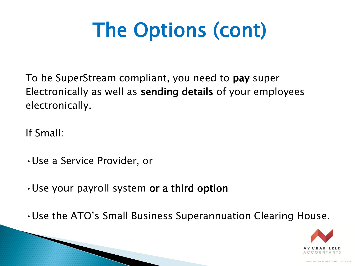To be SuperStream compliant, you need to pay super Electronically as well as sending details of your employees electronically.

If Small:

- •Use a Service Provider, or
- •Use your payroll system or a third option
- •Use the ATO's Small Business Superannuation Clearing House.

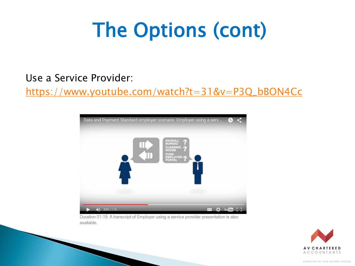#### Use a Service Provider:

[https://www.youtube.com/watch?t=31&v=P3Q\\_bBON4Cc](https://www.youtube.com/watch?t=31&v=P3Q_bBON4Cc)



Duration 01:19. A transcript of Employer using a service provider presentation is also available.

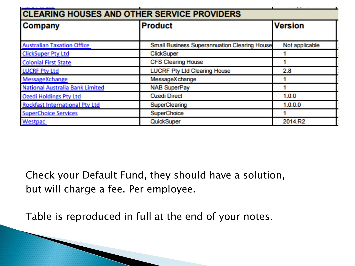| <b>CLEARING HOUSES AND OTHER SERVICE PROVIDERS</b> |                                                     |                |  |  |
|----------------------------------------------------|-----------------------------------------------------|----------------|--|--|
| Company                                            | <b>Product</b>                                      | <b>Version</b> |  |  |
|                                                    |                                                     |                |  |  |
| <b>Australian Taxation Office</b>                  | <b>Small Business Superannuation Clearing House</b> | Not applicable |  |  |
| <b>ClickSuper Pty Ltd</b>                          | <b>ClickSuper</b>                                   |                |  |  |
| <b>Colonial First State</b>                        | <b>CFS Clearing House</b>                           |                |  |  |
| <b>LUCRF Pty Ltd</b>                               | <b>LUCRF Pty Ltd Clearing House</b>                 | 2.8            |  |  |
| MessageXchange                                     | MessageXchange                                      |                |  |  |
| National Australia Bank Limited                    | <b>NAB SuperPay</b>                                 |                |  |  |
| <b>Ozedi Holdings Pty Ltd</b>                      | <b>Ozedi Direct</b>                                 | 1.0.0          |  |  |
| <b>Rockfast International Pty Ltd</b>              | SuperClearing                                       | 1.0.0.0        |  |  |
| <b>SuperChoice Services</b>                        | SuperChoice                                         |                |  |  |
| Westpac                                            | QuickSuper                                          | 2014.R2        |  |  |

Check your Default Fund, they should have a solution, but will charge a fee. Per employee.

ومسامرها والسامسين

Table is reproduced in full at the end of your notes.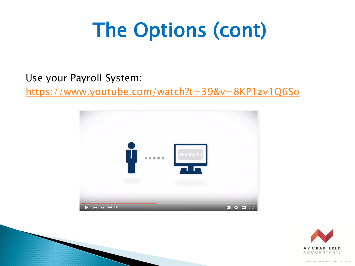Use your Payroll System:

https://www.youtube.com/watch?t=39&v=8KP1zv1Q6So



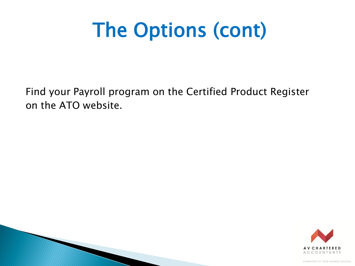Find your Payroll program on the Certified Product Register on the ATO website.

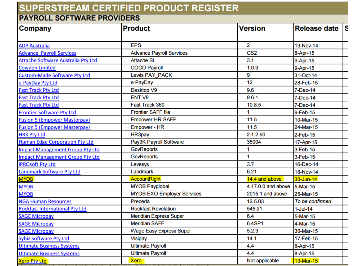#### SUPERSTREAM CERTIFIED PRODUCT REGISTER

#### **PAYROLL SOFTWARE PROVIDERS**

| <b>Company</b>                            | <b>Product</b>                    | <b>Version</b>     | Release date S  |  |
|-------------------------------------------|-----------------------------------|--------------------|-----------------|--|
| <b>ADP Australia</b>                      | <b>EPS</b>                        | $\overline{2}$     | 13-Nov-14       |  |
| <b>Advance Payroll Services</b>           | <b>Advance Payroll Services</b>   | CS <sub>2</sub>    | 8-Apr-15        |  |
| <b>Attache Software Australia Pty Ltd</b> | <b>Attache BI</b>                 | 3.1                | 9-Apr-15        |  |
| <b>Cowden Limited</b>                     | <b>COCO Payroll</b>               | 1.0.9              | 9-Apr-15        |  |
| <b>Custom-Made Software Pty Ltd</b>       | Lewis PAY PACK                    | 9                  | 31-Oct-14       |  |
| e-PayDay Pty Ltd                          | e-PayDay                          | 12                 | 28-Feb-15       |  |
| <b>Fast Track Pty Ltd</b>                 | Desktop V9                        | 9.6                | 7-Dec-14        |  |
| <b>Fast Track Pty Ltd</b>                 | ENT <sub>V9</sub>                 | 9.6.1              | 7-Dec-14        |  |
| <b>Fast Track Pty Ltd</b>                 | Fast Track 360                    | 10.8.5             | 7-Dec-14        |  |
| <b>Frontier Software Pty Ltd</b>          | <b>Frontier SAFF file</b>         | 1                  | 9-Feb-15        |  |
| <b>Fusion 5 (Empower Masterpay)</b>       | Empower-HR-SAFF                   | 11.5               | 10-Mar-15       |  |
| <b>Fusion 5 (Empower Masterpay)</b>       | Empower - HR                      | 11.5               | 24-Mar-15       |  |
| <b>HR3 Pty Ltd</b>                        | HR3pay                            | 2.1.2.90           | $2$ -Feb-15     |  |
| <b>Human Edge Corporation Pty Ltd</b>     | Pay3K Payroll Software            | 35004              | 17-Apr-15       |  |
| <b>Impact Management Group Pty Ltd</b>    | <b>GovReports</b>                 | 1                  | 3-Feb-15        |  |
| <b>Impact Management Group Pty Ltd</b>    | <b>GovReports</b>                 | 1                  | 3-Feb-15        |  |
| <b>iPROsoft Pty Ltd</b>                   | Levesys                           | 3.7                | 16-Dec-14       |  |
| <b>Landmark Software Pty Ltd</b>          | Landmark                          | 6.21               | 18-Nov-14       |  |
| <b>MYOB</b>                               | <b>AccountRight</b>               | 14.4 and above     | 30-Jun-14       |  |
| <b>MYOB</b>                               | <b>MYOB Payglobal</b>             | 4.17.0.0 and above | 5-Mar-15        |  |
| <b>MYOB</b>                               | <b>MYOB EXO Employer Services</b> | 2015.1 and above   | 25-Mar-15       |  |
| <b>NGA Human Resources</b>                | Preceda                           | 12.5.03            | To be confirmed |  |
| <b>Rockfast International Pty Ltd</b>     | <b>Rockfast Revelation</b>        | 545.21             | $1$ -Jul-14     |  |
| <b>SAGE Micropay</b>                      | <b>Meridian Express Super</b>     | 6.4                | 5-Mar-15        |  |
| <b>SAGE Micropay</b>                      | <b>Meridian SAFF</b>              | 6.4SP1             | 4-Mar-15        |  |
| <b>SAGE Micropay</b>                      | <b>Wage Easy Express Super</b>    | 5.2.3              | 30-Mar-15       |  |
| <b>Sybiz Software Pty Ltd</b>             | <b>Visipay</b>                    | 14.1               | 17-Feb-15       |  |
| <b>Ultimate Business Systems</b>          | <b>Ultimate Payroll</b>           | 4.4                | 8-Apr-15        |  |
| <b>Ultimate Business Systems</b>          | <b>Ultimate Payroll</b>           | 4.4                | 8-Apr-15        |  |
| <b>Xero Pty Ltd</b>                       | <b>Xero</b>                       | Not applicable     | 13-Mar-15       |  |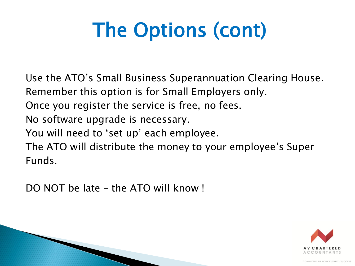Use the ATO's Small Business Superannuation Clearing House. Remember this option is for Small Employers only.

Once you register the service is free, no fees.

No software upgrade is necessary.

You will need to 'set up' each employee.

The ATO will distribute the money to your employee's Super Funds.

DO NOT be late – the ATO will know !

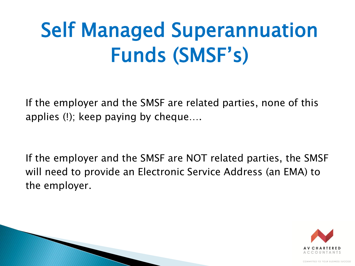# Self Managed Superannuation Funds (SMSF's)

If the employer and the SMSF are related parties, none of this applies (!); keep paying by cheque….

If the employer and the SMSF are NOT related parties, the SMSF will need to provide an Electronic Service Address (an EMA) to the employer.

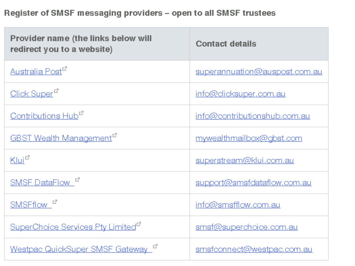#### Register of SMSF messaging providers - open to all SMSF trustees

| Provider name (the links below will<br>redirect you to a website) | <b>Contact details</b>         |
|-------------------------------------------------------------------|--------------------------------|
| Australia Post <sup>er</sup>                                      | superannuation@auspost.com.au  |
| Click Super <sup>er</sup>                                         | <u>info@dicksuper.com.au</u>   |
| Contributions Hub <sup>er</sup>                                   | info@contributionshub.com.au   |
| <b>GBST Wealth Management</b> <sup>L'</sup>                       | mywealthmailbox@gbst.com       |
| $K$ lui $^{\mathbb{C}^n}$                                         | <u>superstream@klui.com.au</u> |
| SMSF DataFlow E                                                   | support@smsfdataflow.com.au    |
| SMSFflow <sup>8</sup>                                             | info@smsfflow.com.au           |
| SuperChoice Services Pty Limited <sup>er</sup>                    | <u>smsf@superchoice.com.au</u> |
| Westpac QuickSuper SMSF Gateway                                   | smsfconnect@westpac.com.au     |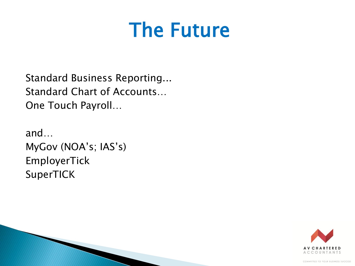### **The Future**

**Standard Business Reporting... Standard Chart of Accounts...** One Touch Payroll...

and... MyGov (NOA's; IAS's) EmployerTick SuperTICK

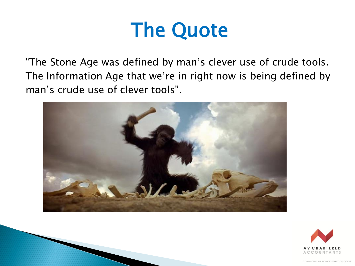### The Quote

"The Stone Age was defined by man's clever use of crude tools. The Information Age that we're in right now is being defined by man's crude use of clever tools".



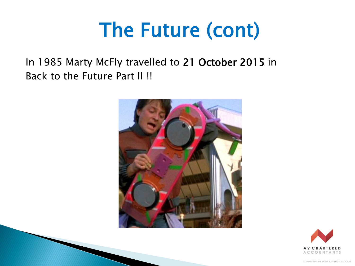## The Future (cont)

In 1985 Marty McFly travelled to 21 October 2015 in Back to the Future Part II !!